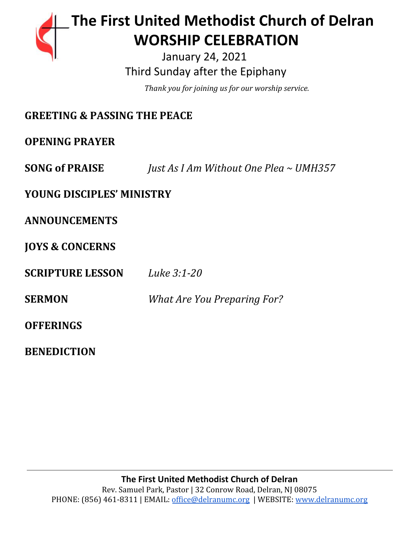# **The First United Methodist Church of Delran** …… … **WORSHIP CELEBRATION**

 January 24, 2021 Third Sunday after the Epiphany

………………………………………*. .Thank you for joining us for our worship service.*

| <b>GREETING &amp; PASSING THE PEACE</b> |                                        |
|-----------------------------------------|----------------------------------------|
| <b>OPENING PRAYER</b>                   |                                        |
| <b>SONG of PRAISE</b>                   | Just As I Am Without One Plea ~ UMH357 |
| <b>YOUNG DISCIPLES' MINISTRY</b>        |                                        |
| <b>ANNOUNCEMENTS</b>                    |                                        |
| <b>JOYS &amp; CONCERNS</b>              |                                        |
| <b>SCRIPTURE LESSON</b>                 | Luke 3:1-20                            |
| <b>SERMON</b>                           | <b>What Are You Preparing For?</b>     |
| <b>OFFERINGS</b>                        |                                        |
| <b>BENEDICTION</b>                      |                                        |

**The First United Methodist Church of Delran** Rev. Samuel Park, Pastor | 32 Conrow Road, Delran, NJ 08075 PHONE: (856) 461-8311 | EMAIL: [office@delranumc.org](mailto:office@delranumc.org) | WEBSITE: [www.delranumc.org](http://www.delranumc.org/)